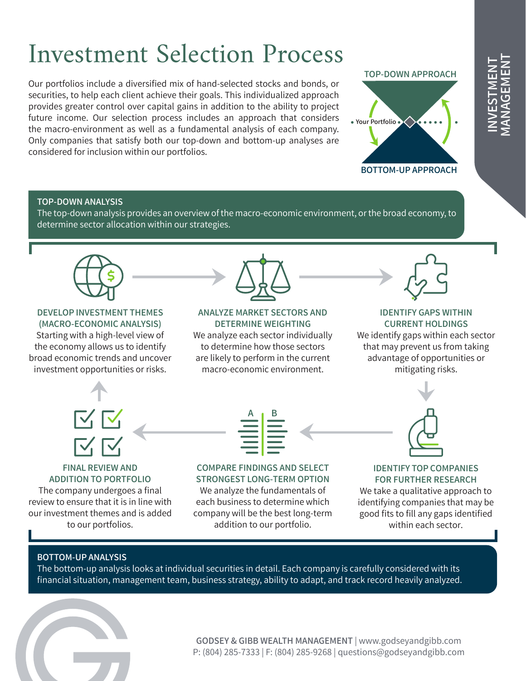## Investment Selection Process

Our portfolios include a diversified mix of hand-selected stocks and bonds, or securities, to help each client achieve their goals. This individualized approach provides greater control over capital gains in addition to the ability to project future income. Our selection process includes an approach that considers the macro-environment as well as a fundamental analysis of each company. Only companies that satisfy both our top-down and bottom-up analyses are considered for inclusion within our portfolios.



#### **TOP-DOWN ANALYSIS**

The top-down analysis provides an overview of the macro-economic environment, or the broad economy, to determine sector allocation within our strategies.



#### **DEVELOP INVESTMENT THEMES (MACRO-ECONOMIC ANALYSIS)**

Starting with a high-level view of the economy allows us to identify broad economic trends and uncover investment opportunities or risks.



**ANALYZE MARKET SECTORS AND DETERMINE WEIGHTING** We analyze each sector individually

to determine how those sectors are likely to perform in the current macro-economic environment.



## **IDENTIFY GAPS WITHIN CURRENT HOLDINGS**

We identify gaps within each sector that may prevent us from taking advantage of opportunities or mitigating risks.



## **FINAL REVIEW AND ADDITION TO PORTFOLIO** The company undergoes a final

review to ensure that it is in line with our investment themes and is added to our portfolios.



#### **COMPARE FINDINGS AND SELECT STRONGEST LONG-TERM OPTION** We analyze the fundamentals of each business to determine which company will be the best long-term

addition to our portfolio.



#### **IDENTIFY TOP COMPANIES FOR FURTHER RESEARCH**

We take a qualitative approach to identifying companies that may be good fits to fill any gaps identified within each sector.

#### **BOTTOM-UP ANALYSIS**

The bottom-up analysis looks at individual securities in detail. Each company is carefully considered with its financial situation, management team, business strategy, ability to adapt, and track record heavily analyzed.